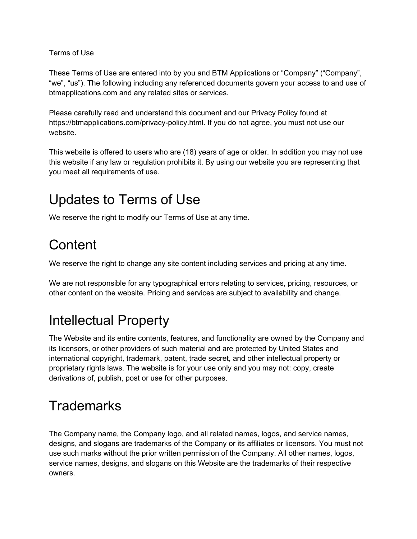Terms of Use

These Terms of Use are entered into by you and BTM Applications or "Company" ("Company", "we", "us"). The following including any referenced documents govern your access to and use of btmapplications.com and any related sites or services.

Please carefully read and understand this document and our Privacy Policy found at https://btmapplications.com/privacy-policy.html. If you do not agree, you must not use our website.

This website is offered to users who are (18) years of age or older. In addition you may not use this website if any law or regulation prohibits it. By using our website you are representing that you meet all requirements of use.

## Updates to Terms of Use

We reserve the right to modify our Terms of Use at any time.

### **Content**

We reserve the right to change any site content including services and pricing at any time.

We are not responsible for any typographical errors relating to services, pricing, resources, or other content on the website. Pricing and services are subject to availability and change.

#### Intellectual Property

The Website and its entire contents, features, and functionality are owned by the Company and its licensors, or other providers of such material and are protected by United States and international copyright, trademark, patent, trade secret, and other intellectual property or proprietary rights laws. The website is for your use only and you may not: copy, create derivations of, publish, post or use for other purposes.

## **Trademarks**

The Company name, the Company logo, and all related names, logos, and service names, designs, and slogans are trademarks of the Company or its affiliates or licensors. You must not use such marks without the prior written permission of the Company. All other names, logos, service names, designs, and slogans on this Website are the trademarks of their respective owners.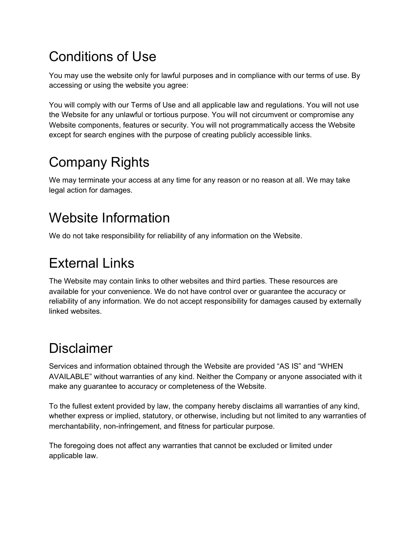### Conditions of Use

You may use the website only for lawful purposes and in compliance with our terms of use. By accessing or using the website you agree:

You will comply with our Terms of Use and all applicable law and regulations. You will not use the Website for any unlawful or tortious purpose. You will not circumvent or compromise any Website components, features or security. You will not programmatically access the Website except for search engines with the purpose of creating publicly accessible links.

# Company Rights

We may terminate your access at any time for any reason or no reason at all. We may take legal action for damages.

## Website Information

We do not take responsibility for reliability of any information on the Website.

## External Links

The Website may contain links to other websites and third parties. These resources are available for your convenience. We do not have control over or guarantee the accuracy or reliability of any information. We do not accept responsibility for damages caused by externally linked websites.

## Disclaimer

Services and information obtained through the Website are provided "AS IS" and "WHEN AVAILABLE" without warranties of any kind. Neither the Company or anyone associated with it make any guarantee to accuracy or completeness of the Website.

To the fullest extent provided by law, the company hereby disclaims all warranties of any kind, whether express or implied, statutory, or otherwise, including but not limited to any warranties of merchantability, non-infringement, and fitness for particular purpose.

The foregoing does not affect any warranties that cannot be excluded or limited under applicable law.